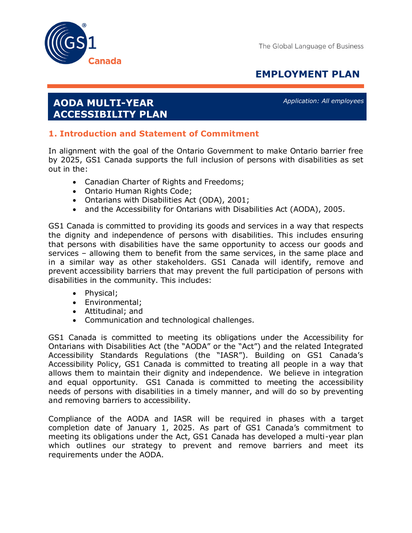

# **EMPLOYMENT PLAN**

# **AODA MULTI-YEAR ACCESSIBILITY PLAN**

*Application: All employees* 

## **1. Introduction and Statement of Commitment**

In alignment with the goal of the Ontario Government to make Ontario barrier free by 2025, GS1 Canada supports the full inclusion of persons with disabilities as set out in the:

- Canadian Charter of Rights and Freedoms;
- Ontario Human Rights Code;
- Ontarians with Disabilities Act (ODA), 2001;
- and the Accessibility for Ontarians with Disabilities Act (AODA), 2005.

GS1 Canada is committed to providing its goods and services in a way that respects the dignity and independence of persons with disabilities. This includes ensuring that persons with disabilities have the same opportunity to access our goods and services – allowing them to benefit from the same services, in the same place and in a similar way as other stakeholders. GS1 Canada will identify, remove and prevent accessibility barriers that may prevent the full participation of persons with disabilities in the community. This includes:

- Physical;
- Environmental;
- Attitudinal; and
- Communication and technological challenges.

GS1 Canada is committed to meeting its obligations under the Accessibility for Ontarians with Disabilities Act (the "AODA" or the "Act") and the related Integrated Accessibility Standards Regulations (the "IASR"). Building on GS1 Canada's Accessibility Policy, GS1 Canada is committed to treating all people in a way that allows them to maintain their dignity and independence. We believe in integration and equal opportunity. GS1 Canada is committed to meeting the accessibility needs of persons with disabilities in a timely manner, and will do so by preventing and removing barriers to accessibility.

Compliance of the AODA and IASR will be required in phases with a target completion date of January 1, 2025. As part of GS1 Canada's commitment to meeting its obligations under the Act, GS1 Canada has developed a multi-year plan which outlines our strategy to prevent and remove barriers and meet its requirements under the AODA.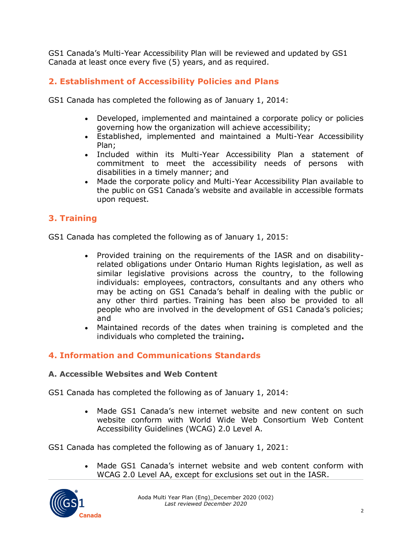GS1 Canada's Multi-Year Accessibility Plan will be reviewed and updated by GS1 Canada at least once every five (5) years, and as required.

# **2. Establishment of Accessibility Policies and Plans**

GS1 Canada has completed the following as of January 1, 2014:

- Developed, implemented and maintained a corporate policy or policies governing how the organization will achieve accessibility;
- Established, implemented and maintained a Multi-Year Accessibility Plan;
- Included within its Multi-Year Accessibility Plan a statement of commitment to meet the accessibility needs of persons with disabilities in a timely manner; and
- Made the corporate policy and Multi-Year Accessibility Plan available to the public on GS1 Canada's website and available in accessible formats upon request.

# **3. Training**

GS1 Canada has completed the following as of January 1, 2015:

- Provided training on the requirements of the IASR and on disabilityrelated obligations under Ontario Human Rights legislation, as well as similar legislative provisions across the country, to the following individuals: employees, contractors, consultants and any others who may be acting on GS1 Canada's behalf in dealing with the public or any other third parties. Training has been also be provided to all people who are involved in the development of GS1 Canada's policies; and
- Maintained records of the dates when training is completed and the individuals who completed the training**.**

## **4. Information and Communications Standards**

#### **A. Accessible Websites and Web Content**

GS1 Canada has completed the following as of January 1, 2014:

• Made GS1 Canada's new internet website and new content on such website conform with World Wide Web Consortium Web Content Accessibility Guidelines (WCAG) 2.0 Level A.

GS1 Canada has completed the following as of January 1, 2021:

• Made GS1 Canada's internet website and web content conform with WCAG 2.0 Level AA, except for exclusions set out in the IASR.

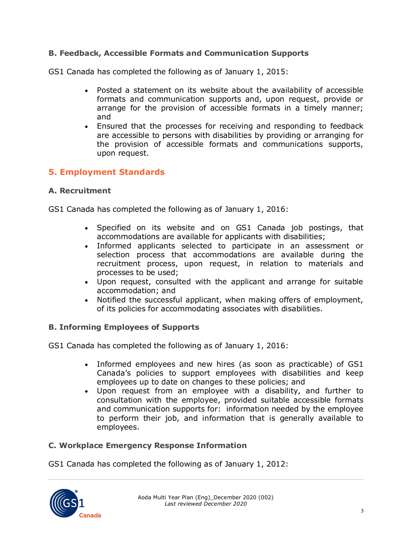## **B. Feedback, Accessible Formats and Communication Supports**

GS1 Canada has completed the following as of January 1, 2015:

- Posted a statement on its website about the availability of accessible formats and communication supports and, upon request, provide or arrange for the provision of accessible formats in a timely manner; and
- Ensured that the processes for receiving and responding to feedback are accessible to persons with disabilities by providing or arranging for the provision of accessible formats and communications supports, upon request.

## **5. Employment Standards**

#### **A. Recruitment**

GS1 Canada has completed the following as of January 1, 2016:

- Specified on its website and on GS1 Canada job postings, that accommodations are available for applicants with disabilities;
- Informed applicants selected to participate in an assessment or selection process that accommodations are available during the recruitment process, upon request, in relation to materials and processes to be used;
- Upon request, consulted with the applicant and arrange for suitable accommodation; and
- Notified the successful applicant, when making offers of employment, of its policies for accommodating associates with disabilities.

#### **B. Informing Employees of Supports**

GS1 Canada has completed the following as of January 1, 2016:

- Informed employees and new hires (as soon as practicable) of GS1 Canada's policies to support employees with disabilities and keep employees up to date on changes to these policies; and
- Upon request from an employee with a disability, and further to consultation with the employee, provided suitable accessible formats and communication supports for: information needed by the employee to perform their job, and information that is generally available to employees.

#### **C. Workplace Emergency Response Information**

GS1 Canada has completed the following as of January 1, 2012: